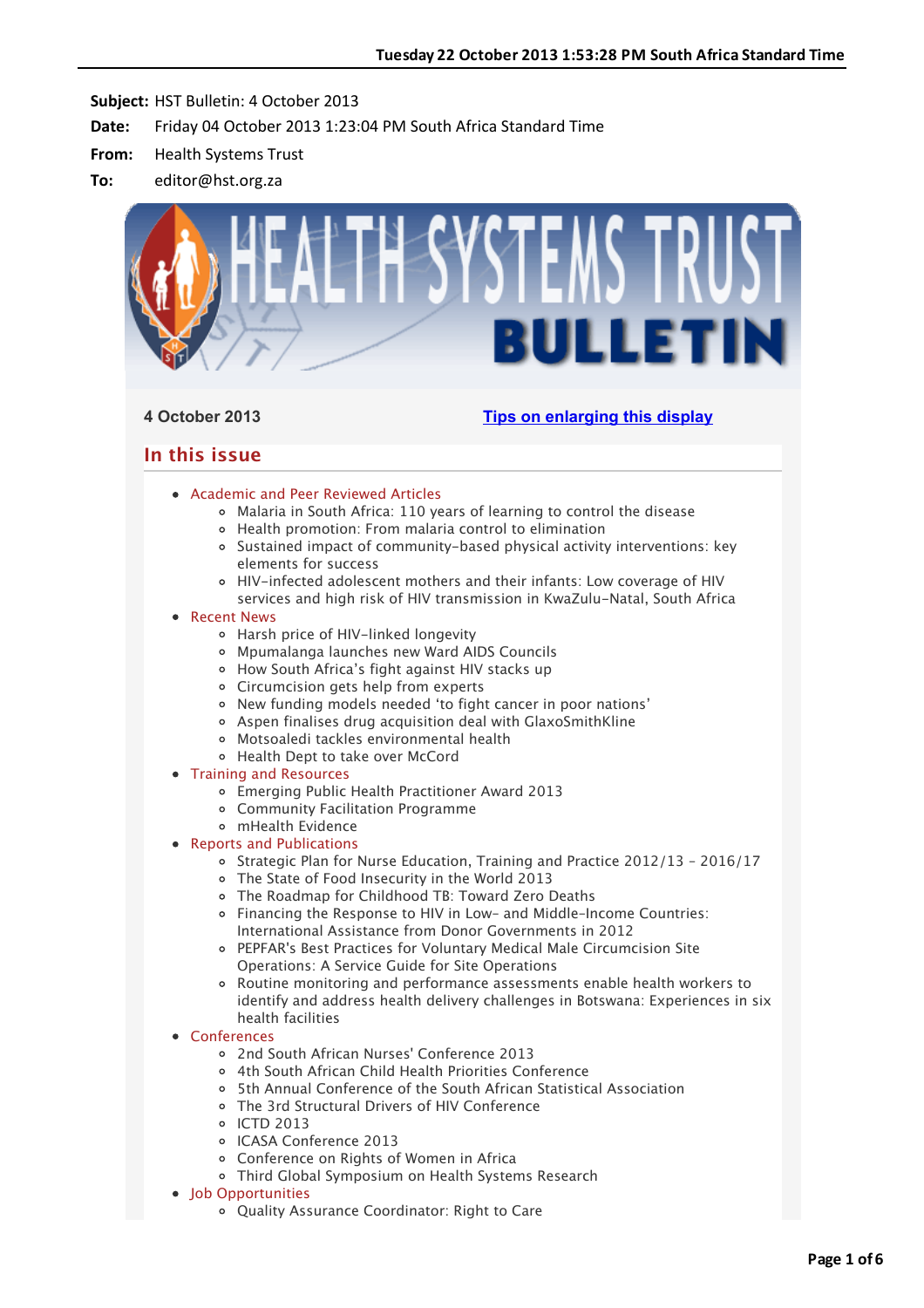

# **4 October 2013 [Tips on enlarging this display](http://bulletin.hst.org.za//lt.php?id=K09QCFZVVAUOSlNRCkUHClxV)**

# **In this issue**

- [Academic and Peer Reviewed Articles](applewebdata://12302AD0-8F70-43AB-9B86-1689D529E7B2#Academic)
	- [Malaria in South Africa: 110 years of learning to control the disease](applewebdata://12302AD0-8F70-43AB-9B86-1689D529E7B2#A_0)
	- [Health promotion: From malaria control to elimination](applewebdata://12302AD0-8F70-43AB-9B86-1689D529E7B2#A_1)
	- <sup>o</sup> [Sustained impact of community-based physical activity interventions: key](applewebdata://12302AD0-8F70-43AB-9B86-1689D529E7B2#A_2) elements for success
	- HIV-infected adolescent mothers and their infants: Low coverage of HIV services and high risk of HIV transmission in KwaZulu-Natal, South Africa

# [Recent News](applewebdata://12302AD0-8F70-43AB-9B86-1689D529E7B2#recent)

- [Harsh price of HIV-linked longevity](applewebdata://12302AD0-8F70-43AB-9B86-1689D529E7B2#N_0)
- [Mpumalanga launches new Ward AIDS Councils](applewebdata://12302AD0-8F70-43AB-9B86-1689D529E7B2#N_1)
- [How South Africa's fight against HIV stacks up](applewebdata://12302AD0-8F70-43AB-9B86-1689D529E7B2#N_2)
- [Circumcision gets help from experts](applewebdata://12302AD0-8F70-43AB-9B86-1689D529E7B2#N_3)
- [New funding models needed 'to fight cancer in poor nations'](applewebdata://12302AD0-8F70-43AB-9B86-1689D529E7B2#N_4)
- [Aspen finalises drug acquisition deal with GlaxoSmithKline](applewebdata://12302AD0-8F70-43AB-9B86-1689D529E7B2#N_5)
- [Motsoaledi tackles environmental health](applewebdata://12302AD0-8F70-43AB-9B86-1689D529E7B2#N_6)
- [Health Dept to take over McCord](applewebdata://12302AD0-8F70-43AB-9B86-1689D529E7B2#N_7)
- [Training and Resources](applewebdata://12302AD0-8F70-43AB-9B86-1689D529E7B2#train)
	- Emerging Public Health Practitioner Award 2013
	- Community Facilitation Programme
	- mHealth Evidence
- [Reports and Publications](applewebdata://12302AD0-8F70-43AB-9B86-1689D529E7B2#publications)
	- $\circ$  Strategic Plan for Nurse Education, Training and Practice 2012/13 2016/17
	- The State of Food Insecurity in the World 2013
	- [The Roadmap for Childhood TB: Toward Zero Deaths](applewebdata://12302AD0-8F70-43AB-9B86-1689D529E7B2#P_3)
	- [Financing the Response to HIV in Low– and Middle–Income Countries:](applewebdata://12302AD0-8F70-43AB-9B86-1689D529E7B2#P_4) International Assistance from Donor Governments in 2012
	- [PEPFAR's Best Practices for Voluntary Medical Male Circumcision Site](applewebdata://12302AD0-8F70-43AB-9B86-1689D529E7B2#P_5) Operations: A Service Guide for Site Operations
	- Routine monitoring and performance assessments enable health workers to [identify and address health delivery challenges in Botswana: Experiences in six](applewebdata://12302AD0-8F70-43AB-9B86-1689D529E7B2#P_6) health facilities
- [Conferences](applewebdata://12302AD0-8F70-43AB-9B86-1689D529E7B2#conferences)
	- [2nd South African Nurses' Conference 2013](applewebdata://12302AD0-8F70-43AB-9B86-1689D529E7B2#C_1)
	- [4th South African Child Health Priorities Conference](applewebdata://12302AD0-8F70-43AB-9B86-1689D529E7B2#C_2)
	- [5th Annual Conference of the South African Statistical Association](applewebdata://12302AD0-8F70-43AB-9B86-1689D529E7B2#C_3)
	- [The 3rd Structural Drivers of HIV Conference](applewebdata://12302AD0-8F70-43AB-9B86-1689D529E7B2#C_4)
	- o [ICTD 2013](applewebdata://12302AD0-8F70-43AB-9B86-1689D529E7B2#C_5)
	- [ICASA Conference 2013](applewebdata://12302AD0-8F70-43AB-9B86-1689D529E7B2#C_6)
	- [Conference on Rights of Women in Africa](applewebdata://12302AD0-8F70-43AB-9B86-1689D529E7B2#C_7)
	- [Third Global Symposium on Health Systems Research](applewebdata://12302AD0-8F70-43AB-9B86-1689D529E7B2#C_8)
- Iob Opportunities
	- [Quality Assurance Coordinator: Right to Care](applewebdata://12302AD0-8F70-43AB-9B86-1689D529E7B2#J_1)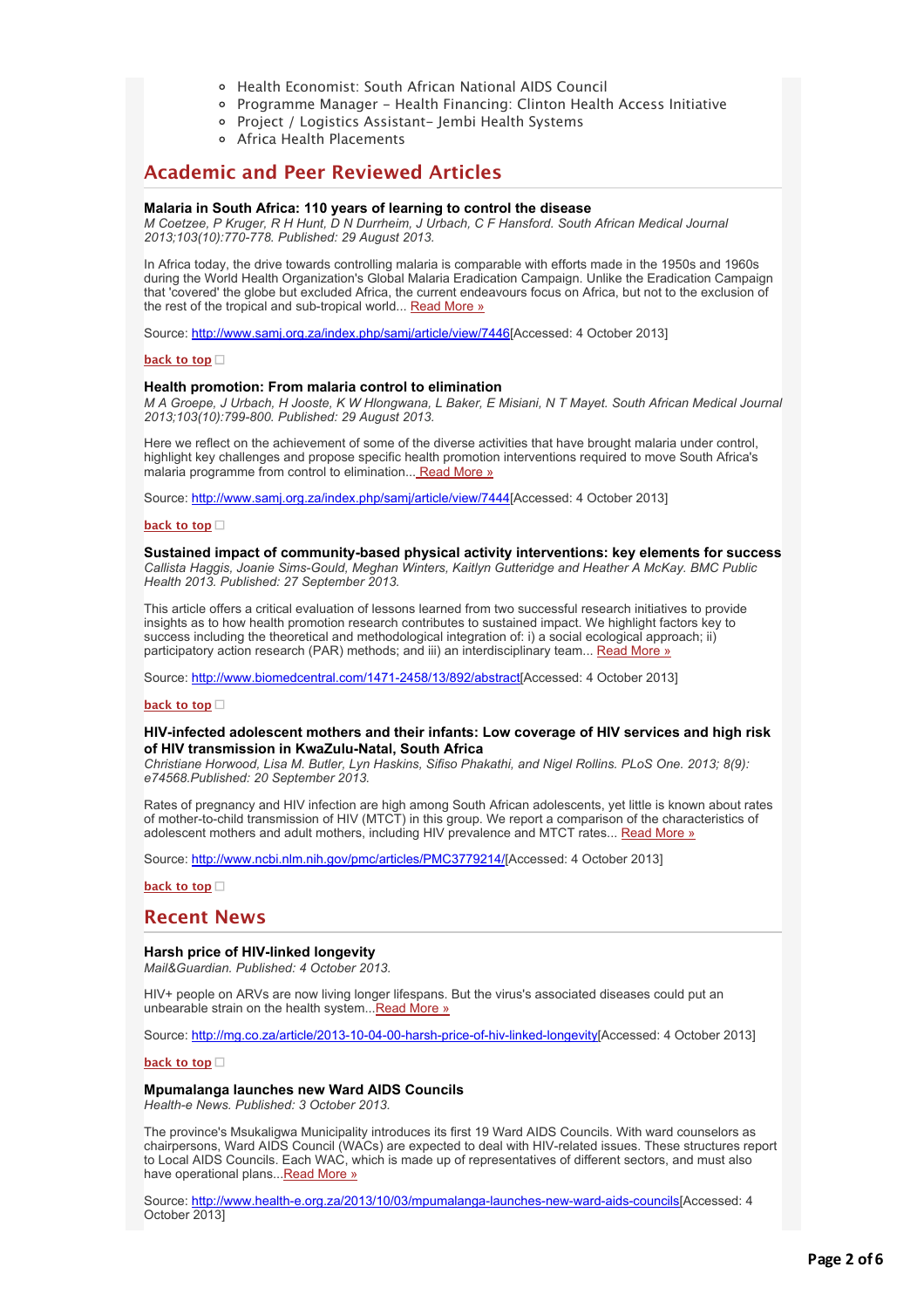- [Health Economist: South African National AIDS Council](applewebdata://12302AD0-8F70-43AB-9B86-1689D529E7B2#J_2)
- [Programme Manager Health Financing: Clinton Health Access Initiative](applewebdata://12302AD0-8F70-43AB-9B86-1689D529E7B2#J_3)
- [Project / Logistics Assistant- Jembi Health Systems](applewebdata://12302AD0-8F70-43AB-9B86-1689D529E7B2#J_4)
- [Africa Health Placements](applewebdata://12302AD0-8F70-43AB-9B86-1689D529E7B2#J_0)

# **Academic and Peer Reviewed Articles**

#### **Malaria in South Africa: 110 years of learning to control the disease**

*M Coetzee, P Kruger, R H Hunt, D N Durrheim, J Urbach, C F Hansford. South African Medical Journal 2013;103(10):770-778. Published: 29 August 2013.*

In Africa today, the drive towards controlling malaria is comparable with efforts made in the 1950s and 1960s during the World Health Organization's Global Malaria Eradication Campaign. Unlike the Eradication Campaign that 'covered' the globe but excluded Africa, the current endeavours focus on Africa, but not to the exclusion of the rest of the tropical and sub-tropical world... [Read More »](http://bulletin.hst.org.za//lt.php?id=K09QCFZVVAIHSlNRCkUHClxV)

Source: [http://www.samj.org.za/index.php/samj/article/view/7446\[](http://bulletin.hst.org.za//lt.php?id=K09QCFZVVAIHSlNRCkUHClxV)Accessed: 4 October 2013]

#### **[back to top](applewebdata://12302AD0-8F70-43AB-9B86-1689D529E7B2#top)**

#### **Health promotion: From malaria control to elimination**

*M A Groepe, J Urbach, H Jooste, K W Hlongwana, L Baker, E Misiani, N T Mayet. South African Medical Journal 2013;103(10):799-800. Published: 29 August 2013.*

Here we reflect on the achievement of some of the diverse activities that have brought malaria under control, highlight key challenges and propose specific health promotion interventions required to move South Africa's malaria programme from control to elimination... [Read More »](http://bulletin.hst.org.za//lt.php?id=K09QCFZVVAIGSlNRCkUHClxV)

Source: [http://www.samj.org.za/index.php/samj/article/view/7444\[](http://bulletin.hst.org.za//lt.php?id=K09QCFZVVAIGSlNRCkUHClxV)Accessed: 4 October 2013]

#### **[back to top](applewebdata://12302AD0-8F70-43AB-9B86-1689D529E7B2#top)**

# **Sustained impact of community-based physical activity interventions: key elements for success**

*Callista Haggis, Joanie Sims-Gould, Meghan Winters, Kaitlyn Gutteridge and Heather A McKay. BMC Public Health 2013. Published: 27 September 2013.*

This article offers a critical evaluation of lessons learned from two successful research initiatives to provide insights as to how health promotion research contributes to sustained impact. We highlight factors key to success including the theoretical and methodological integration of: i) a social ecological approach; ii) participatory action research (PAR) methods; and iii) an interdisciplinary team... [Read More »](http://bulletin.hst.org.za//lt.php?id=K09QCFZVVAIFSlNRCkUHClxV)

Source: [http://www.biomedcentral.com/1471-2458/13/892/abstract\[](http://bulletin.hst.org.za//lt.php?id=K09QCFZVVAIFSlNRCkUHClxV)Accessed: 4 October 2013]

#### **[back to top](applewebdata://12302AD0-8F70-43AB-9B86-1689D529E7B2#top)**

#### **HIV-infected adolescent mothers and their infants: Low coverage of HIV services and high risk of HIV transmission in KwaZulu-Natal, South Africa**

*Christiane Horwood, Lisa M. Butler, Lyn Haskins, Sifiso Phakathi, and Nigel Rollins. PLoS One. 2013; 8(9): e74568.Published: 20 September 2013.*

Rates of pregnancy and HIV infection are high among South African adolescents, yet little is known about rates of mother-to-child transmission of HIV (MTCT) in this group. We report a comparison of the characteristics of adolescent mothers and adult mothers, including HIV prevalence and MTCT rates... [Read More »](http://bulletin.hst.org.za//lt.php?id=K09QCFZVVAIESlNRCkUHClxV)

Source: [http://www.ncbi.nlm.nih.gov/pmc/articles/PMC3779214/](http://bulletin.hst.org.za//lt.php?id=K09QCFZVVAIESlNRCkUHClxV)[Accessed: 4 October 2013]

**[back to top](applewebdata://12302AD0-8F70-43AB-9B86-1689D529E7B2#top)**

# **Recent News**

### **Harsh price of HIV-linked longevity**

*Mail&Guardian. Published: 4 October 2013.*

HIV+ people on ARVs are now living longer lifespans. But the virus's associated diseases could put an unbearable strain on the health system... Read More »

Source: [http://mg.co.za/article/2013-10-04-00-harsh-price-of-hiv-linked-longevity\[](http://bulletin.hst.org.za//lt.php?id=K09QCFZVVAICSlNRCkUHClxV)Accessed: 4 October 2013]

### **[back to top](applewebdata://12302AD0-8F70-43AB-9B86-1689D529E7B2#top)**

#### **Mpumalanga launches new Ward AIDS Councils** *Health-e News. Published: 3 October 2013.*

The province's Msukaligwa Municipality introduces its first 19 Ward AIDS Councils. With ward counselors as chairpersons, Ward AIDS Council (WACs) are expected to deal with HIV-related issues. These structures report to Local AIDS Councils. Each WAC, which is made up of representatives of different sectors, and must also have operational plans..[.Read More »](http://bulletin.hst.org.za//lt.php?id=K09QCFZVVAIBSlNRCkUHClxV)

Source: [http://www.health-e.org.za/2013/10/03/mpumalanga-launches-new-ward-aids-councils\[](http://bulletin.hst.org.za//lt.php?id=K09QCFZVVAIASlNRCkUHClxV)Accessed: 4 October 2013]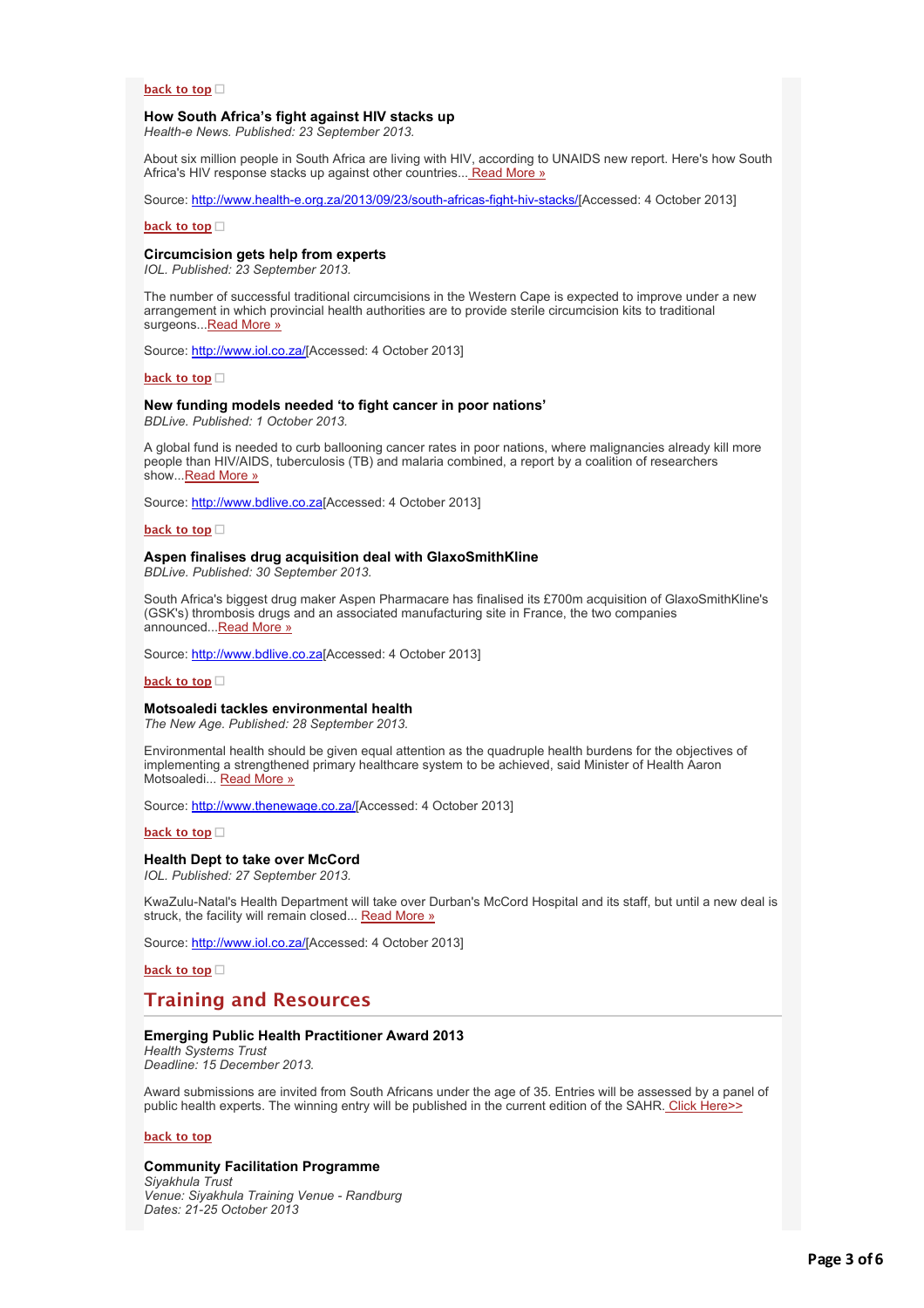## **[back to top](applewebdata://12302AD0-8F70-43AB-9B86-1689D529E7B2#top)**

#### **How South Africa's fight against HIV stacks up**

*Health-e News. Published: 23 September 2013.*

About six million people in South Africa are living with HIV, according to UNAIDS new report. Here's how South Africa's HIV response stacks up against other countries... [Read More »](http://bulletin.hst.org.za//lt.php?id=K09QCFZVVAIPSlNRCkUHClxV)

Source: [http://www.health-e.org.za/2013/09/23/south-africas-fight-hiv-stacks/](http://bulletin.hst.org.za//lt.php?id=K09QCFZVVAIOSlNRCkUHClxV)[Accessed: 4 October 2013]

**[back to top](applewebdata://12302AD0-8F70-43AB-9B86-1689D529E7B2#top)**

### **Circumcision gets help from experts**

*IOL. Published: 23 September 2013.*

The number of successful traditional circumcisions in the Western Cape is expected to improve under a new arrangement in which provincial health authorities are to provide sterile circumcision kits to traditional surgeons..[.Read More »](http://bulletin.hst.org.za//lt.php?id=K09QCFZVVAMHSlNRCkUHClxV)

Source: [http://www.iol.co.za/\[](http://bulletin.hst.org.za//lt.php?id=K09QCFZVVAMGSlNRCkUHClxV)Accessed: 4 October 2013]

**[back to top](applewebdata://12302AD0-8F70-43AB-9B86-1689D529E7B2#top)**

#### **New funding models needed 'to fight cancer in poor nations'**

*BDLive. Published: 1 October 2013.*

A global fund is needed to curb ballooning cancer rates in poor nations, where malignancies already kill more people than HIV/AIDS, tuberculosis (TB) and malaria combined, a report by a coalition of researchers show. Read More »

Source: [http://www.bdlive.co.za\[](http://bulletin.hst.org.za//lt.php?id=K09QCFZVVAMESlNRCkUHClxV)Accessed: 4 October 2013]

**[back to top](applewebdata://12302AD0-8F70-43AB-9B86-1689D529E7B2#top)**

#### **Aspen finalises drug acquisition deal with GlaxoSmithKline**

*BDLive. Published: 30 September 2013.*

South Africa's biggest drug maker Aspen Pharmacare has finalised its £700m acquisition of GlaxoSmithKline's (GSK's) thrombosis drugs and an associated manufacturing site in France, the two companies announced..[.Read More »](http://bulletin.hst.org.za//lt.php?id=K09QCFZVVAMDSlNRCkUHClxV)

Source: [http://www.bdlive.co.za\[](http://bulletin.hst.org.za//lt.php?id=K09QCFZVVAMCSlNRCkUHClxV)Accessed: 4 October 2013]

**[back to top](applewebdata://12302AD0-8F70-43AB-9B86-1689D529E7B2#top)**

#### **Motsoaledi tackles environmental health**

*The New Age. Published: 28 September 2013.*

Environmental health should be given equal attention as the quadruple health burdens for the objectives of implementing a strengthened primary healthcare system to be achieved, said Minister of Health Aaron Motsoaledi... [Read More »](http://bulletin.hst.org.za//lt.php?id=K09QCFZVVAMBSlNRCkUHClxV)

Source: [http://www.thenewage.co.za/\[](http://bulletin.hst.org.za//lt.php?id=K09QCFZVVAMASlNRCkUHClxV)Accessed: 4 October 2013]

#### **[back to top](applewebdata://12302AD0-8F70-43AB-9B86-1689D529E7B2#top)**

#### **Health Dept to take over McCord**

*IOL. Published: 27 September 2013.*

KwaZulu-Natal's Health Department will take over Durban's McCord Hospital and its staff, but until a new deal is struck, the facility will remain closed... [Read More »](http://bulletin.hst.org.za//lt.php?id=K09QCFZVVAMPSlNRCkUHClxV)

Source: [http://www.iol.co.za/\[](http://bulletin.hst.org.za//lt.php?id=K09QCFZVVAMOSlNRCkUHClxV)Accessed: 4 October 2013]

#### **[back to top](applewebdata://12302AD0-8F70-43AB-9B86-1689D529E7B2#top)**

# **Training and Resources**

#### **Emerging Public Health Practitioner Award 2013**

*Health Systems Trust Deadline: 15 December 2013.*

Award submissions are invited from South Africans under the age of 35. Entries will be assessed by a panel of public health experts. The winning entry will be published in the current edition of the SAHR[. Click Here>>](http://bulletin.hst.org.za//lt.php?id=K09QCFZVVAAHSlNRCkUHClxV)

#### **[back to top](applewebdata://12302AD0-8F70-43AB-9B86-1689D529E7B2#top)**

# **Community Facilitation Programme**

*Siyakhula Trust Venue: Siyakhula Training Venue - Randburg Dates: 21-25 October 2013*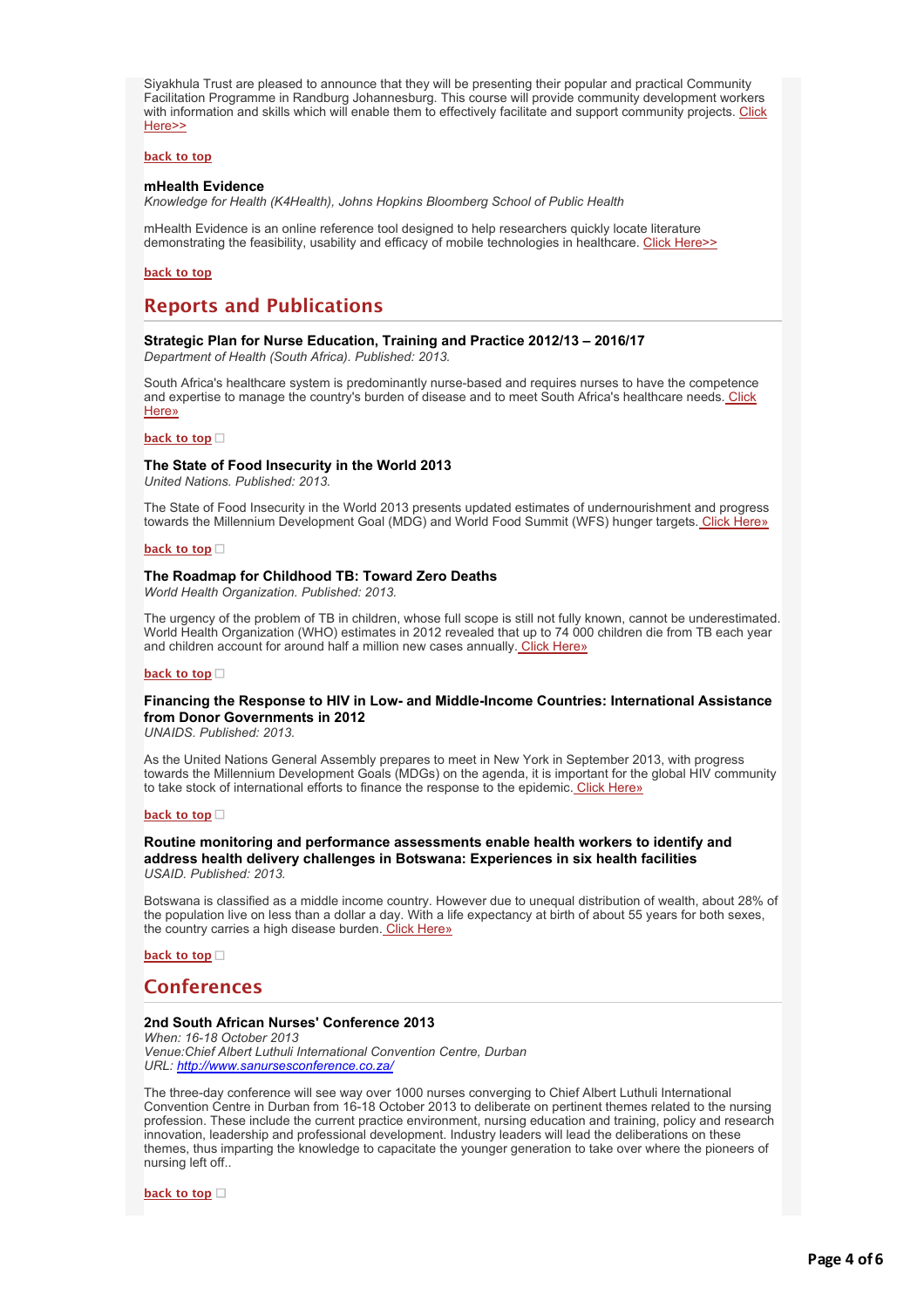Siyakhula Trust are pleased to announce that they will be presenting their popular and practical Community Facilitation Programme in Randburg Johannesburg. This course will provide community development workers [with information and skills which will enable them to effectively facilitate and support community projects. Click](http://bulletin.hst.org.za//lt.php?id=K09QCFZVVAAGSlNRCkUHClxV) Here>>

#### **[back to top](applewebdata://12302AD0-8F70-43AB-9B86-1689D529E7B2#top)**

#### **mHealth Evidence**

*Knowledge for Health (K4Health), Johns Hopkins Bloomberg School of Public Health*

mHealth Evidence is an online reference tool designed to help researchers quickly locate literature demonstrating the feasibility, usability and efficacy of mobile technologies in healthcare. [Click Here>>](http://bulletin.hst.org.za//lt.php?id=K09QCFZVVAAFSlNRCkUHClxV)

#### **[back to top](applewebdata://12302AD0-8F70-43AB-9B86-1689D529E7B2#top)**

# **Reports and Publications**

### **Strategic Plan for Nurse Education, Training and Practice 2012/13 – 2016/17**

*Department of Health (South Africa). Published: 2013.*

South Africa's healthcare system is predominantly nurse-based and requires nurses to have the competence [and expertise to manage the country's burden of disease and to meet South Africa's healthcare needs. Click](http://bulletin.hst.org.za//lt.php?id=K09QCFZVVAAESlNRCkUHClxV) Here»

#### **[back to top](applewebdata://12302AD0-8F70-43AB-9B86-1689D529E7B2#top)**

#### **The State of Food Insecurity in the World 2013**

*United Nations. Published: 2013.*

The State of Food Insecurity in the World 2013 presents updated estimates of undernourishment and progress towards the Millennium Development Goal (MDG) and World Food Summit (WFS) hunger targets. [Click Here»](http://bulletin.hst.org.za//lt.php?id=K09QCFZVVAADSlNRCkUHClxV)

#### **[back to top](applewebdata://12302AD0-8F70-43AB-9B86-1689D529E7B2#top)**

#### **The Roadmap for Childhood TB: Toward Zero Deaths**

*World Health Organization. Published: 2013.*

The urgency of the problem of TB in children, whose full scope is still not fully known, cannot be underestimated. World Health Organization (WHO) estimates in 2012 revealed that up to 74 000 children die from TB each year and children account for around half a million new cases annually. [Click Here»](http://bulletin.hst.org.za//lt.php?id=K09QCFZVVAACSlNRCkUHClxV)

#### **[back to top](applewebdata://12302AD0-8F70-43AB-9B86-1689D529E7B2#top)**

#### **Financing the Response to HIV in Low- and Middle-Income Countries: International Assistance from Donor Governments in 2012**

*UNAIDS. Published: 2013.*

As the United Nations General Assembly prepares to meet in New York in September 2013, with progress towards the Millennium Development Goals (MDGs) on the agenda, it is important for the global HIV community to take stock of international efforts to finance the response to the epidemic[. Click Here»](http://bulletin.hst.org.za//lt.php?id=K09QCFZVVAABSlNRCkUHClxV)

#### **[back to top](applewebdata://12302AD0-8F70-43AB-9B86-1689D529E7B2#top)**

#### **Routine monitoring and performance assessments enable health workers to identify and address health delivery challenges in Botswana: Experiences in six health facilities** *USAID. Published: 2013.*

Botswana is classified as a middle income country. However due to unequal distribution of wealth, about 28% of the population live on less than a dollar a day. With a life expectancy at birth of about 55 years for both sexes, the country carries a high disease burden[. Click Here»](http://bulletin.hst.org.za//lt.php?id=K09QCFZVVAAASlNRCkUHClxV)

**[back to top](applewebdata://12302AD0-8F70-43AB-9B86-1689D529E7B2#top)**

# **Conferences**

#### **2nd South African Nurses' Conference 2013**

*When: 16-18 October 2013 Venue:Chief Albert Luthuli International Convention Centre, Durban URL: [http://www.sanursesconference.co.za/](http://bulletin.hst.org.za//lt.php?id=K09QCFZVVAAPSlNRCkUHClxV)*

The three-day conference will see way over 1000 nurses converging to Chief Albert Luthuli International Convention Centre in Durban from 16-18 October 2013 to deliberate on pertinent themes related to the nursing profession. These include the current practice environment, nursing education and training, policy and research innovation, leadership and professional development. Industry leaders will lead the deliberations on these themes, thus imparting the knowledge to capacitate the younger generation to take over where the pioneers of nursing left off..

**[back to top](applewebdata://12302AD0-8F70-43AB-9B86-1689D529E7B2#top)**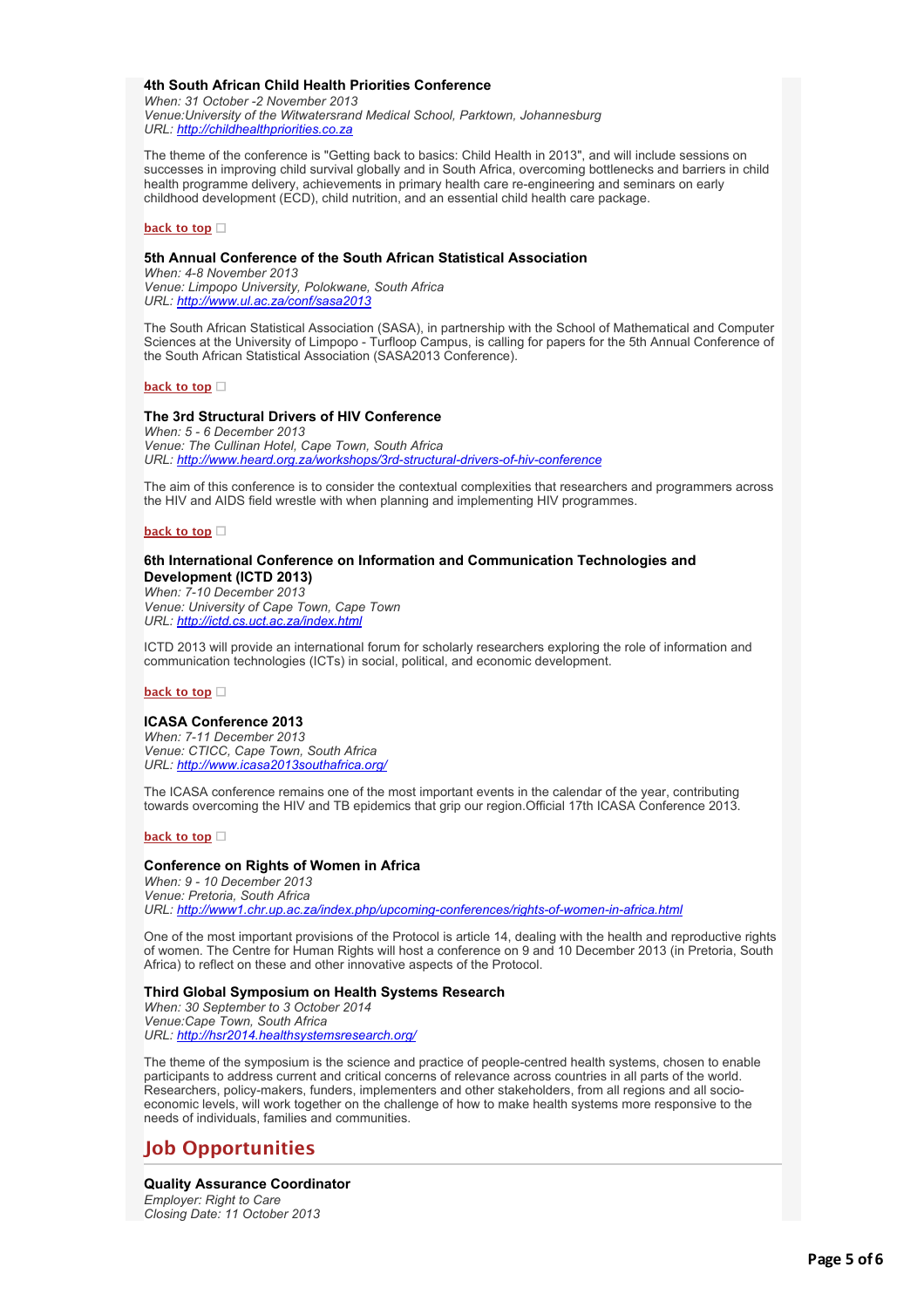#### **4th South African Child Health Priorities Conference**

*When: 31 October -2 November 2013 Venue:University of the Witwatersrand Medical School, Parktown, Johannesburg URL: [http://childhealthpriorities.co.za](http://bulletin.hst.org.za//lt.php?id=K09QCFZVVAAOSlNRCkUHClxV)*

The theme of the conference is "Getting back to basics: Child Health in 2013", and will include sessions on successes in improving child survival globally and in South Africa, overcoming bottlenecks and barriers in child health programme delivery, achievements in primary health care re-engineering and seminars on early childhood development (ECD), child nutrition, and an essential child health care package.

#### **[back to top](applewebdata://12302AD0-8F70-43AB-9B86-1689D529E7B2#top)**

### **5th Annual Conference of the South African Statistical Association**

*When: 4-8 November 2013 Venue: Limpopo University, Polokwane, South Africa URL: [http://www.ul.ac.za/conf/sasa2013](http://bulletin.hst.org.za//lt.php?id=K09QCFZVVAEHSlNRCkUHClxV)*

The South African Statistical Association (SASA), in partnership with the School of Mathematical and Computer Sciences at the University of Limpopo - Turfloop Campus, is calling for papers for the 5th Annual Conference of the South African Statistical Association (SASA2013 Conference).

#### **[back to top](applewebdata://12302AD0-8F70-43AB-9B86-1689D529E7B2#top)**

#### **The 3rd Structural Drivers of HIV Conference**

*When: 5 - 6 December 2013 Venue: The Cullinan Hotel, Cape Town, South Africa URL: [http://www.heard.org.za/workshops/3rd-structural-drivers-of-hiv-conference](http://bulletin.hst.org.za//lt.php?id=K09QCFZVVAEGSlNRCkUHClxV)*

The aim of this conference is to consider the contextual complexities that researchers and programmers across the HIV and AIDS field wrestle with when planning and implementing HIV programmes.

#### **[back to top](applewebdata://12302AD0-8F70-43AB-9B86-1689D529E7B2#top)**

### **6th International Conference on Information and Communication Technologies and Development (ICTD 2013)**

*When: 7-10 December 2013 Venue: University of Cape Town, Cape Town URL: [http://ictd.cs.uct.ac.za/index.html](http://bulletin.hst.org.za//lt.php?id=K09QCFZVVAEFSlNRCkUHClxV)*

ICTD 2013 will provide an international forum for scholarly researchers exploring the role of information and communication technologies (ICTs) in social, political, and economic development.

**[back to top](applewebdata://12302AD0-8F70-43AB-9B86-1689D529E7B2#top)**

### **ICASA Conference 2013**

*When: 7-11 December 2013 Venue: CTICC, Cape Town, South Africa URL: [http://www.icasa2013southafrica.org/](http://bulletin.hst.org.za//lt.php?id=K09QCFZVVAEESlNRCkUHClxV)*

The ICASA conference remains one of the most important events in the calendar of the year, contributing towards overcoming the HIV and TB epidemics that grip our region.Official 17th ICASA Conference 2013.

#### **[back to top](applewebdata://12302AD0-8F70-43AB-9B86-1689D529E7B2#top)**

### **Conference on Rights of Women in Africa**

*When: 9 - 10 December 2013 Venue: Pretoria, South Africa URL: [http://www1.chr.up.ac.za/index.php/upcoming-conferences/rights-of-women-in-africa.html](http://bulletin.hst.org.za//lt.php?id=K09QCFZVVAEDSlNRCkUHClxV)*

One of the most important provisions of the Protocol is article 14, dealing with the health and reproductive rights of women. The Centre for Human Rights will host a conference on 9 and 10 December 2013 (in Pretoria, South Africa) to reflect on these and other innovative aspects of the Protocol.

#### **Third Global Symposium on Health Systems Research**

*When: 30 September to 3 October 2014 Venue:Cape Town, South Africa URL: [http://hsr2014.healthsystemsresearch.org/](http://bulletin.hst.org.za//lt.php?id=K09QCFZVVAECSlNRCkUHClxV)*

The theme of the symposium is the science and practice of people-centred health systems, chosen to enable participants to address current and critical concerns of relevance across countries in all parts of the world. Researchers, policy-makers, funders, implementers and other stakeholders, from all regions and all socioeconomic levels, will work together on the challenge of how to make health systems more responsive to the needs of individuals, families and communities.

# **Job Opportunities**

# **Quality Assurance Coordinator**

*Employer: Right to Care Closing Date: 11 October 2013*